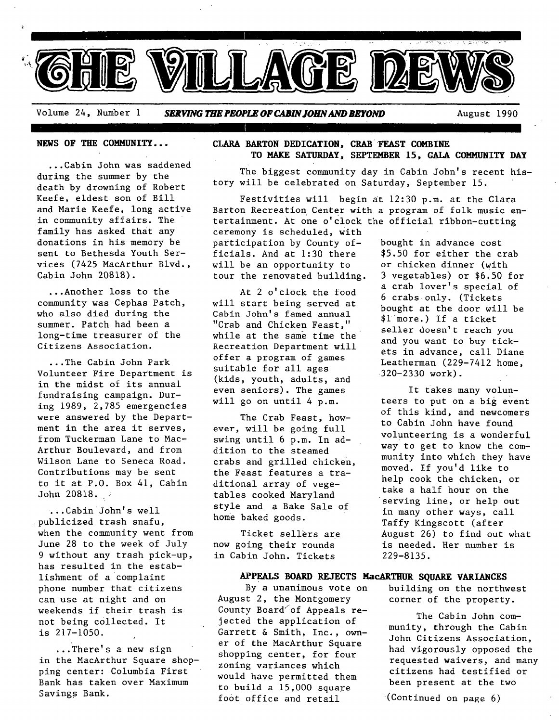

Volume 24, Number 1 **SERVING THE PEOPLE OF CABIN JOHN AND BEYOND August 1990** 

**NEWS OF THE COMMUNITY...** 

...Cabin John was saddened during the summer by the death by drowning of Robert Keefe, eldest son of Bill and Marie Keefe, long active in community affairs. The family has asked that any donations in his memory be sent to Bethesda Youth Services (7425 MacArthur Blvd., Cabin John 20818).

...Another loss to the community was Cephas Patch, who also died during the summer. Patch had been a long-time treasurer of the Citizens Association.

...The Cabin John Park Volunteer Fire Department is in the midst of its annual fundraising campaign. During 1989, 2,785 emergencies were answered by the Department in the area it serves, from Tuckerman Lane to Mac-Arthur Boulevard, and from Wilson Lane to Seneca Road. Contributions may be sent to it at P.O. Box 41, Cabin John 20818.

...Cabin John's well publicized trash snafu, when the community went from June 28 to the week of July 9 without any trash pick-up, has resulted in the establishment of a complaint phone number that citizens can use at night and on weekends if their trash is not being collected. It is 217-1050.

...There's a new sign in the MacArthur Square shopping center: Columbia First Bank has taken over Maximum Savings Bank.

#### **CLARA BARTON DEDICATION, CRAB'FEAST COMBINE TO MAKE SATURDAY, SEPTEMBER 15, GAlA COMMUNITY DAY**

The biggest community day in Cabin John's recent history will be celebrated on Saturday, September 15.

Festivities will begin at 12:30 p.m. at the Clara Barton Recreation Center with a program of folk music entertainment. At one o'clock the official ribbon-cutting ceremony is scheduled, With

participation by County officials. And at 1:30 there will be an opportunity to tour the renovated building.

At 2 o'clock the food will start being served at Cabin John's famed annual "Crab and Chicken Feast," while at the same time the Recreation Department will offer a program of games suitable for all ages (kids, youth, adults, and even seniors). The games will go on until 4 p.m.

The Crab Feast, however, will be going full swing until 6 p.m. In addition to the steamed crabs and grilled chicken, the Feast features a traditional array of vegetables cooked Maryland style and a Bake Sale of home baked goods.

Ticket sellers are now going their rounds in Cabin John. Tickets

> By a unanimous vote on building on the northwest corner of the property.

> > The Cabin John community, through the Cabin John Citizens Association, had vigorously opposed the requested waivers, and many citizens had testified or been present at the two

 $(Continued on page 6)$ 

\$5.50 for either the crab or chicken dinner (with 3 vegetables) or \$6.50 for a crab lover's special of 6 crabs only. (Tickets bought at the door will be \$i more.) If a ticket seller doesn't reach you and you want to buy tickets in advance, call Diane Leatherman (229-7412 home, 320-2330 work).

bought in advance cost

It takes many volunteers to put on a big event of this kind, and newcomers to Cabin John have found volunteering is a wonderful way to get to know the community into which they have moved. If you'd like to help cook the chicken, or take a half hour on the serving line, or help out in many other ways, call Taffy Kingscott (after August 26) to find out what is needed. Her number is 229-8135.

## **APPEALS BOARD REJECTS HacARTHUR SQUARE VARIANCES**

August 2, the Montgomery County Board of Appeals rejected the application of Garrett & Smith, Inc., owner of the MacArthur Square shopping center, for four zoning variances which would have permitted them to build a 15,000 square foot office and retail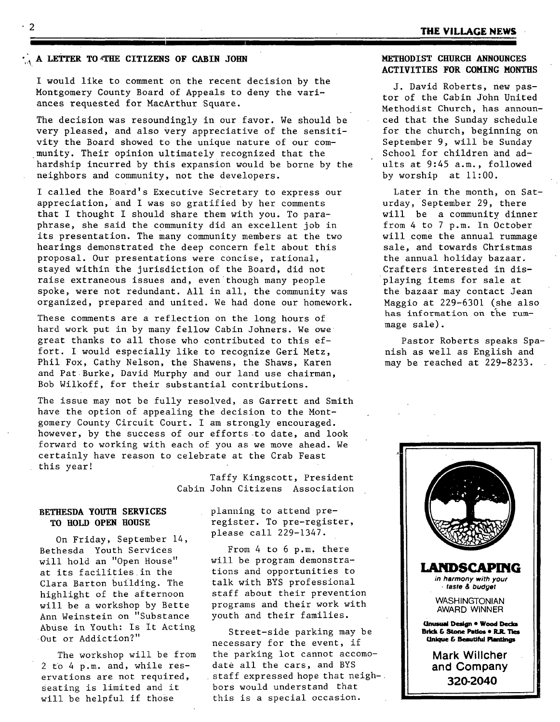#### **A LETTER TO THE CITIZENS OF CABIN JOHN**

I would like to comment on the recent decision by the Montgomery County Board of Appeals to deny the variances requested for MacArthur Square.

The decision was resoundingly in our favor. We should be very pleased, and also very appreciative of the sensitivity the Board showed to the unique nature of our community. Their opinion ultimately recognized that the hardship incurred by this expansion would be borne by the neighbors and community, not the developers.

I called the Board's Executive Secretary to express our appreciation, and I was so gratified by her comments that I thought I should share them with you. To paraphrase, she said the community did an excellent job in its presentation. The many community members at the two hearings demonstrated the deep concern felt about this proposal. Our presentations were concise, rational, stayed within the jurisdiction of the Board, did not raise extraneous issues and, even though many people spoke, were not redundant. All in all, the community was organized, prepared and united. We had done our homework.

These comments are a reflection on the long hours of hard work put in by many fellow Cabin Johners. We owe great thanks to all those who contributed to this effort. I would especially like to recognize Geri Metz, Phil Fox, Cathy Nelson, the Shawens, the Shaws, Karen and Pat Burke, David Murphy and our land use chairman, Bob Wilkoff, for their substantial contributions.

The issue may not be fully resolved, as Garrett and Smith have the option of appealing the decision to the Montgomery County Circuit Court. I am strongly encouraged. however, by the success of our efforts .to date, and look forward to working with each of you as we move ahead. We certainly have reason to celebrate at the Crab Feast this year!

> Taffy Kingscott, President Cabin John Citizens Association

#### **BETHESDA YOUTH SERVICES TO BOLD OPEN HOUSE**

On Friday, September 14, Bethesda Youth Services will hold an "Open House" at its facilities in the Clara Barton building. The highlight of the afternoon will be a workshop by Bette Ann Weinstein on "Substance Abuse in Youth: Is It Acting Out or Addiction?"

The workshop will be from 2 to 4 p.m. and, while reservations are not required, Seating is limited and it will be helpful if those

planning to attend preregister. To pre-register, please call 229-1347.

From 4 to 6 p.m, there will be program demonstrations and opportunities to talk with BYS professional staff about their prevention programs and their work with youth and their families.

Street-side parking may be necessary for the event, if the parking lot cannot accomodate all the cars, and BYS staff expressed hope that neighbors would understand that this is a special occasion.

#### **HETHODIST CHURCH ANNOUNCES ACTIVITIES FOR COMING MONTHS**

J. David Roberts, new pastor of the Cabin JOhn United Methodist Church, has announced that the Sunday schedule for the church, beginning on September 9, will be Sunday School for children and adults at 9:45 a.m., followed by worship at  $11:00$ .

Later in the month, on Saturday, September 29, there will be a community dinner from 4 to 7 p.m. In October will come the annual rummage sale, and towards Christmas the annual holiday bazaar. Crafters interested in displaying items for sale at the bazaar may contact Jean Maggio at 229-6301 (she also has information on the rummage sale).

Pastor Roberts speaks Spanish as well as English and may be reached at 229-8233.

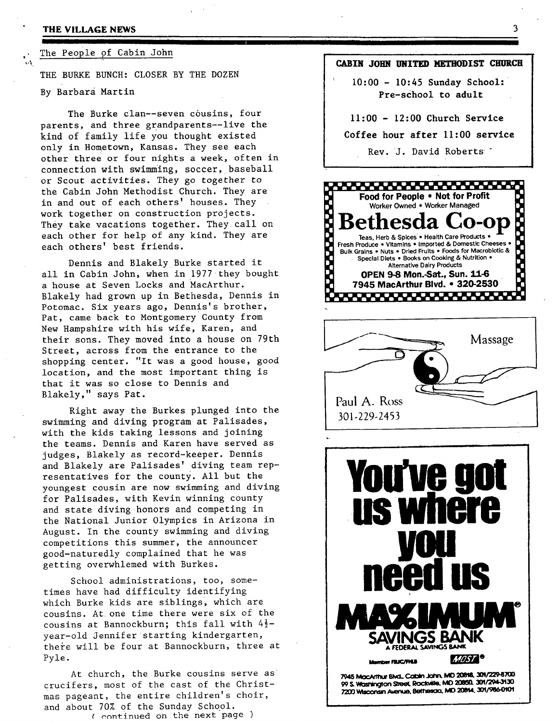#### **THE VILLAGE NEWS**

 $\mathbf{r}$ 

<u>iis is oo maali waa dhadka waa mu ka ahaa m</u> The People of Cabin John

**THE BURKE BUNCH:** CLOSER BY THE DOZEN By Barbara Martin

The Burke clan--seven cousins, four parents, and three grandparents--live the kind of family life you thought existed only in Hometown, Kansas. They see each other three or four nights a week, often in connection with swimming, soccer, baseball or Scout activities. They go together to the Cabin John Methodist Church. They are in and out of each others' houses. They work together on construction projects. They take vacations together. They call on each other for help of any kind. They are each others' best friends.

Dennis and Blakely Burke started it all in Cabin John, when in 1977 they bought a house at Seven Locks and MacArthur. Blakely had grown up in Bethesda, Dennis in Potomac. Six years ago, Dennis's brother, Pat, came back to Montgomery County from New Hampshire with his wife, Karen, and their sons. They moved into a house on 79th Street, across from the entrance to the shopping center. "It was a good house, good location, and the most important thing is that it was so close to Dennis and Blakely," says Pat.

Right away the Burkes plunged into the swimming and diving program at Palisades, with the kids taking lessons and joining the teams. Dennis and Karen have served as judges, Blakely as record-keeper. Dennis and Blakely are Palisades' diving team representatives for the county. All but the youngest cousin are now swimming and diving for Palisades, with Kevin winning county and state diving honors and competing in the National Junior Olympics in Arizona in August. In the county swimming and diving competitions this summer, the announcer good-naturedly complained that he was getting overwhlemed with Burkes.

School administrations, too, sometimes have had difficulty identifying which Burke kids are siblings, which are cousins. At one time there were six of the cousins at Bannockburn; this fall with 4½ year-old Jennifer starting kindergarten, there will be four at Bannockburn, three at Pyle.

At church, the Burke cousins serve as crucifers, most of the cast of the Christmas pageant, the entire children's choir, and about 70% of the Sunday School. ( continued on the next page )

#### **CABIN 30BN UNITED]~ETBODIST CHURCH**

<u>III " I IIII " III " III " III " III " III " III " III " III " III " III " III " III " III " III " III " III</u>

**10:00 - 10:45 Sunday School: Pre-school to adult** 

## **11:00 - 12:00 Church Service Coffee hour after 11:00 service**

#### Rev. 3. David Roberts "







99 S. Washington Street, Rockville, MD 20850. 301/294-3130 7200 Wisconsin Avenue, Bethesda, MD 20814, 301/986-0101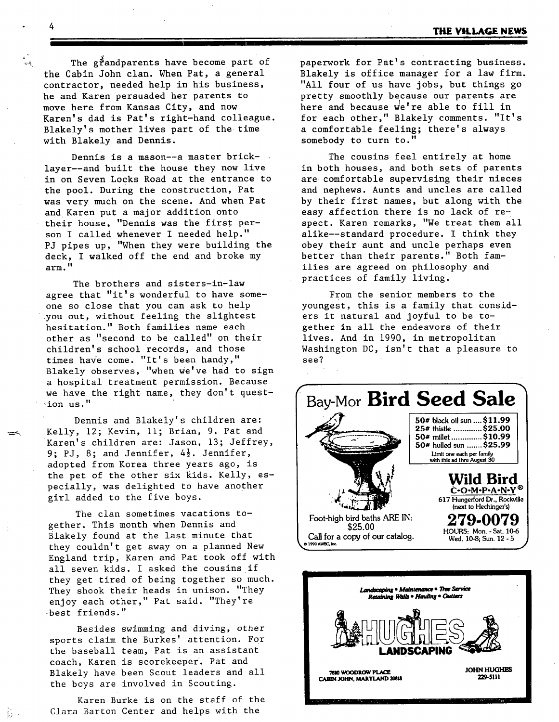The grandparents have become part of the Cabin John clan. When Pat, a general contractor, needed help in his business, he and Karen persuaded her parents to move here from Kansas City, and now Karen's dad is Pat's right-hand colleague. Blakely's mother lives part of the time with Blakely and Dennis.

Dennis is a mason--a master bricklayer--and built the house they now live in on Seven Locks Road at the entrance to the pool. During the construction, Pat was very much on the scene. And when Pat and Karen put a major addition onto their house, "Dennis was the first person I called whenever I needed help." PJ pipes up, "When they were building the deck, I walked off the end and broke my arm."

The brothers and sisters-in-law agree that "it's wonderful to have someone so close that you can ask to help ,you out, without feeling the slightest hesitation." Both families name each other as "second to be called" on their children's school records, and those times have come. "It's been handy," Blakely observes, "when we've had to sign a hospital treatment permission. Because we have the right name, they don't question us."

Dennis and Blakely's children are: Kelly, 12; Kevin, ii; Brian, 9. Pat and Karen's children are: Jason, 13; Jeffrey, 9; PJ, 8; and Jennifer,  $4\frac{1}{2}$ . Jennifer, adopted from Korea three years ago, is the pet of the other six kids. Kelly, especially, was delighted to have another girl added to the five boys.

The clan sometimes vacations together. This month when Dennis and Blakely found at the last minute that they couldn't get away on a planned New England trip, Karen and Pat took off with all seven kids. I asked the cousins if they get tired of being together so much. They shook their heads in unison. "They enjoy each other," Pat said. "They're best friends."

Besides swimming and diving, other sports claim the Burkes' attention. For the baseball team, Pat is an assistant coach, Karen is scorekeeper. Pat and Blakely have been Scout leaders and all the boys are involved in Scouting.

Karen Burke is on the staff of the Clara Barton Center and helps with the

paperwork for Pat's contracting business. Blakely is office manager for a law firm. "All four of us have jobs, but things go pretty smoothly because our parents are here and because we're able to fill in for each other," Blakely comments. "It's a comfortable feeling; there's always somebody to turn to."

The cousins feel entirely at home in both houses, and both sets of parents are comfortable supervising their nieces and nephews. Aunts and uncles are called by their first names, but along with the easy affection there is no lack of respect. Karen remarks, "We treat them all alike--standard procedure. I think they obey their aunt and uncle perhaps even better than their parents." Both families are agreed on philosophy and practices of family living.

From the senior members to the youngest, this is a family that considers it natural and joyful to be together in all the endeavors of their lives. And in 1990, in metropolitan Washington DC, isn't that a pleasure to see?



**7810 WOODROW PLACE** CABIN JOHN, MARYLAND 20818 **JOHN HUGHES ~9-\$111** 

4

્રાદ<br>મુખ્ય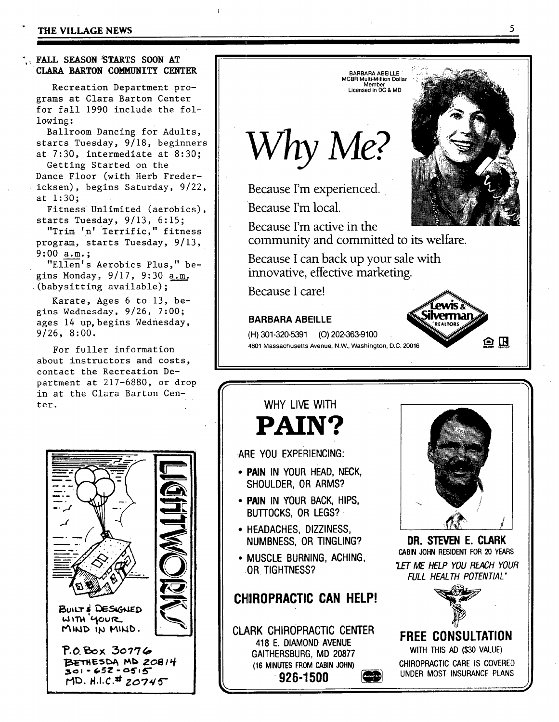#### **THE VILLAGE NEWS**

#### . FALL SEASON<sup>5</sup>TARTS SOON AT **CLARA BARTON COMMUNITY CENTER**

Recreation Department programs at Clara Barton Center for fall 1990 include the following:

Ballroom Dancing for Adults, starts Tuesday, 9/18, beginners at 7:30, intermediate at 8:30;

Getting Started on the Dance Floor (with Herb Fredericksen), begins Saturday, 9/22, at 1:30;

Fitness Unlimited (aerobics), starts Tuesday, 9/13, 6:15;

"Trim 'n' Terrific," fitness program, starts Tuesday, 9/13, 9:00 a.m.;

"Ellen's Aerobics Plus," begins Monday,  $9/17$ ,  $9:30$  a.m. (babysitting available);

Karate, Ages 6 to 13, begins Wednesday, 9/26, 7:00; ages 14 up, begins Wednesday, 9/26, 8:00.

For fuller information about instructors and costs, contact the Recreation Department at 217-6880, or drop in at the Clara Barton Center.



Because I'm active in the Because I care! **BARBARA ABEILLE**  (H) 301-320-5391 (O) 202-363-9100



**PAIN? ARE YOU EXPERIENCING:** 

**• PAIN IN YOUR HEAD, NECK, SHOULDER, OR ARMS?** 

**WHY LIVE WITH** 

- **PAIN IN YOUR BACK, HIPS, BUTIOCKS, OR LEGS?**
- **HEADACHES, DIZZINESS, NUMBNESS, OR TINGLING?**
- **MUSCLE BURNING, ACHING, OR TIGHTNESS?**

## **CHIROPRACTIC CAN HELP!**

**CLARK CHIROPRACTIC CENTER 418 E. DIAMOND AVENUE GAITHERSBURG, MD 20877 (16 MINUTES FROM CABIN JOHN) • 926-1500 ~** 



**DR. STEVEN E. CLARK CABIN JOHN RESIDENT FOR 20 YEARS**  *"LET ME HELP YOU REACH YOUR FULL HEALTH POTENTIAL"* 



**FREE CONSULTATION WITH THIS** AD (\$30 VALUE) **CHIROPRACTIC CARE IS** COVERED **UNDER MOST INSURANCE PLANS** 

J

# *Why Me?*

Because I'm experienced.

Because I'm local.

community and committed to its welfare.

**BARBARA ABEILLE**  MCBR Multi-Milfion **Dollar**  Member **Licensed** in DC & MD

Because I can back up your sale with innovative, effective marketing.

4801 Massachusetts Avenue, N.W., Washington, D.C. 20016